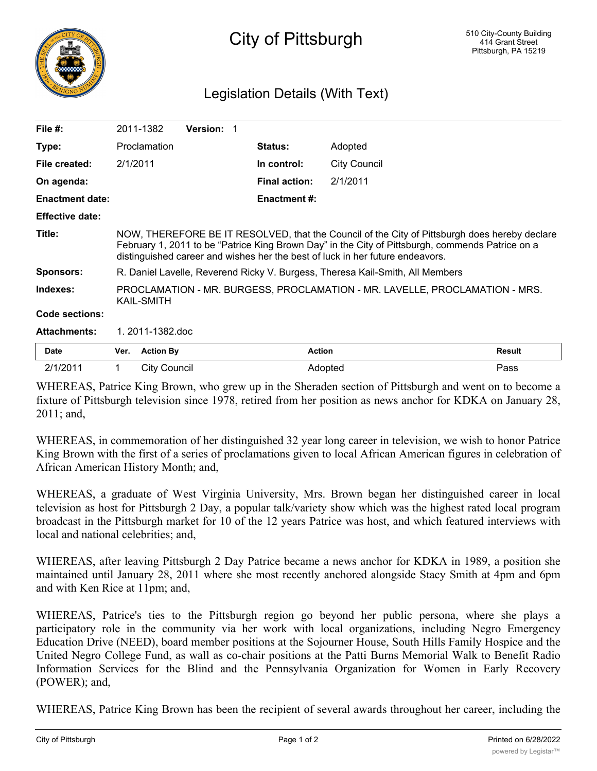

## City of Pittsburgh

## Legislation Details (With Text)

| File $#$ :             |                                                                                                                                                                                                                                                                                    | 2011-1382        | Version: 1 |                      |                     |               |
|------------------------|------------------------------------------------------------------------------------------------------------------------------------------------------------------------------------------------------------------------------------------------------------------------------------|------------------|------------|----------------------|---------------------|---------------|
| Type:                  |                                                                                                                                                                                                                                                                                    | Proclamation     |            | <b>Status:</b>       | Adopted             |               |
| File created:          | 2/1/2011                                                                                                                                                                                                                                                                           |                  |            | In control:          | <b>City Council</b> |               |
| On agenda:             |                                                                                                                                                                                                                                                                                    |                  |            | <b>Final action:</b> | 2/1/2011            |               |
| <b>Enactment date:</b> |                                                                                                                                                                                                                                                                                    |                  |            | <b>Enactment #:</b>  |                     |               |
| <b>Effective date:</b> |                                                                                                                                                                                                                                                                                    |                  |            |                      |                     |               |
| Title:                 | NOW, THEREFORE BE IT RESOLVED, that the Council of the City of Pittsburgh does hereby declare<br>February 1, 2011 to be "Patrice King Brown Day" in the City of Pittsburgh, commends Patrice on a<br>distinguished career and wishes her the best of luck in her future endeavors. |                  |            |                      |                     |               |
| <b>Sponsors:</b>       | R. Daniel Lavelle, Reverend Ricky V. Burgess, Theresa Kail-Smith, All Members                                                                                                                                                                                                      |                  |            |                      |                     |               |
| Indexes:               | PROCLAMATION - MR. BURGESS, PROCLAMATION - MR. LAVELLE, PROCLAMATION - MRS.<br>KAIL-SMITH                                                                                                                                                                                          |                  |            |                      |                     |               |
| Code sections:         |                                                                                                                                                                                                                                                                                    |                  |            |                      |                     |               |
| <b>Attachments:</b>    |                                                                                                                                                                                                                                                                                    | 1.2011-1382.doc  |            |                      |                     |               |
| <b>Date</b>            | Ver.                                                                                                                                                                                                                                                                               | <b>Action By</b> |            | <b>Action</b>        |                     | <b>Result</b> |
| 2/1/2011               |                                                                                                                                                                                                                                                                                    | City Council     |            |                      | Adopted             | Pass          |

WHEREAS, Patrice King Brown, who grew up in the Sheraden section of Pittsburgh and went on to become a fixture of Pittsburgh television since 1978, retired from her position as news anchor for KDKA on January 28, 2011; and,

WHEREAS, in commemoration of her distinguished 32 year long career in television, we wish to honor Patrice King Brown with the first of a series of proclamations given to local African American figures in celebration of African American History Month; and,

WHEREAS, a graduate of West Virginia University, Mrs. Brown began her distinguished career in local television as host for Pittsburgh 2 Day, a popular talk/variety show which was the highest rated local program broadcast in the Pittsburgh market for 10 of the 12 years Patrice was host, and which featured interviews with local and national celebrities; and,

WHEREAS, after leaving Pittsburgh 2 Day Patrice became a news anchor for KDKA in 1989, a position she maintained until January 28, 2011 where she most recently anchored alongside Stacy Smith at 4pm and 6pm and with Ken Rice at 11pm; and,

WHEREAS, Patrice's ties to the Pittsburgh region go beyond her public persona, where she plays a participatory role in the community via her work with local organizations, including Negro Emergency Education Drive (NEED), board member positions at the Sojourner House, South Hills Family Hospice and the United Negro College Fund, as wall as co-chair positions at the Patti Burns Memorial Walk to Benefit Radio Information Services for the Blind and the Pennsylvania Organization for Women in Early Recovery (POWER); and,

WHEREAS, Patrice King Brown has been the recipient of several awards throughout her career, including the